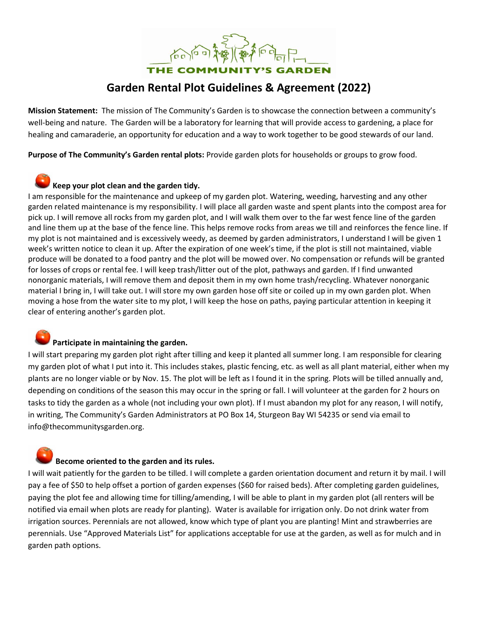THE COMMUNITY'S GARDEN

# **Garden Rental Plot Guidelines & Agreement (2022)**

**Mission Statement:** The mission of The Community's Garden is to showcase the connection between a community's well-being and nature. The Garden will be a laboratory for learning that will provide access to gardening, a place for healing and camaraderie, an opportunity for education and a way to work together to be good stewards of our land.

**Purpose of The Community's Garden rental plots:** Provide garden plots for households or groups to grow food.

## **Keep your plot clean and the garden tidy.**

I am responsible for the maintenance and upkeep of my garden plot. Watering, weeding, harvesting and any other garden related maintenance is my responsibility. I will place all garden waste and spent plants into the compost area for pick up. I will remove all rocks from my garden plot, and I will walk them over to the far west fence line of the garden and line them up at the base of the fence line. This helps remove rocks from areas we till and reinforces the fence line. If my plot is not maintained and is excessively weedy, as deemed by garden administrators, I understand I will be given 1 week's written notice to clean it up. After the expiration of one week's time, if the plot is still not maintained, viable produce will be donated to a food pantry and the plot will be mowed over. No compensation or refunds will be granted for losses of crops or rental fee. I will keep trash/litter out of the plot, pathways and garden. If I find unwanted nonorganic materials, I will remove them and deposit them in my own home trash/recycling. Whatever nonorganic material I bring in, I will take out. I will store my own garden hose off site or coiled up in my own garden plot. When moving a hose from the water site to my plot, I will keep the hose on paths, paying particular attention in keeping it clear of entering another's garden plot.

## **Participate in maintaining the garden.**

I will start preparing my garden plot right after tilling and keep it planted all summer long. I am responsible for clearing my garden plot of what I put into it. This includes stakes, plastic fencing, etc. as well as all plant material, either when my plants are no longer viable or by Nov. 15. The plot will be left as I found it in the spring. Plots will be tilled annually and, depending on conditions of the season this may occur in the spring or fall. I will volunteer at the garden for 2 hours on tasks to tidy the garden as a whole (not including your own plot). If I must abandon my plot for any reason, I will notify, in writing, The Community's Garden Administrators at PO Box 14, Sturgeon Bay WI 54235 or send via email to info@thecommunitysgarden.org.

### **Become oriented to the garden and its rules.**

I will wait patiently for the garden to be tilled. I will complete a garden orientation document and return it by mail. I will pay a fee of \$50 to help offset a portion of garden expenses (\$60 for raised beds). After completing garden guidelines, paying the plot fee and allowing time for tilling/amending, I will be able to plant in my garden plot (all renters will be notified via email when plots are ready for planting). Water is available for irrigation only. Do not drink water from irrigation sources. Perennials are not allowed, know which type of plant you are planting! Mint and strawberries are perennials. Use "Approved Materials List" for applications acceptable for use at the garden, as well as for mulch and in garden path options.